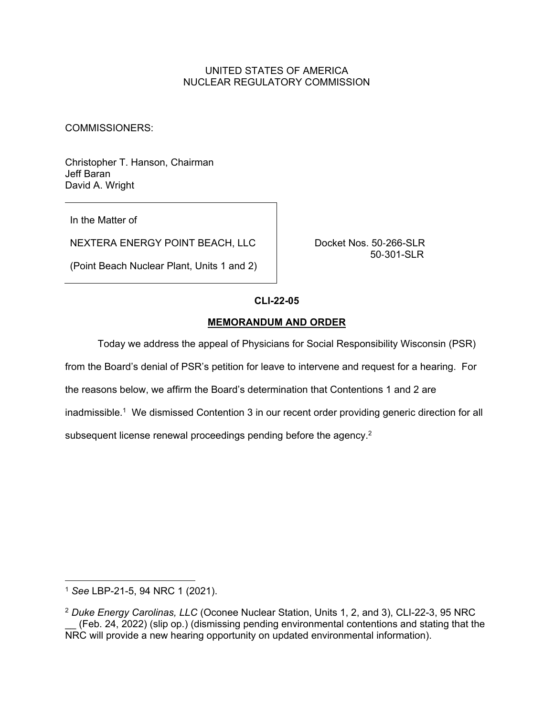# UNITED STATES OF AMERICA NUCLEAR REGULATORY COMMISSION

COMMISSIONERS:

Christopher T. Hanson, Chairman Jeff Baran David A. Wright

In the Matter of

NEXTERA ENERGY POINT BEACH, LLC Docket Nos. 50-266-SLR

(Point Beach Nuclear Plant, Units 1 and 2)

50-301-SLR

## **CLI-22-05**

## **MEMORANDUM AND ORDER**

Today we address the appeal of Physicians for Social Responsibility Wisconsin (PSR)

from the Board's denial of PSR's petition for leave to intervene and request for a hearing. For

the reasons below, we affirm the Board's determination that Contentions 1 and 2 are

inadmissible.<sup>1</sup> We dismissed Contention 3 in our recent order providing generic direction for all

subsequent license renewal proceedings pending before the agency.<sup>2</sup>

<sup>1</sup> *See* LBP-21-5, 94 NRC 1 (2021).

<sup>2</sup> *Duke Energy Carolinas, LLC* (Oconee Nuclear Station, Units 1, 2, and 3), CLI-22-3, 95 NRC (Feb. 24, 2022) (slip op.) (dismissing pending environmental contentions and stating that the NRC will provide a new hearing opportunity on updated environmental information).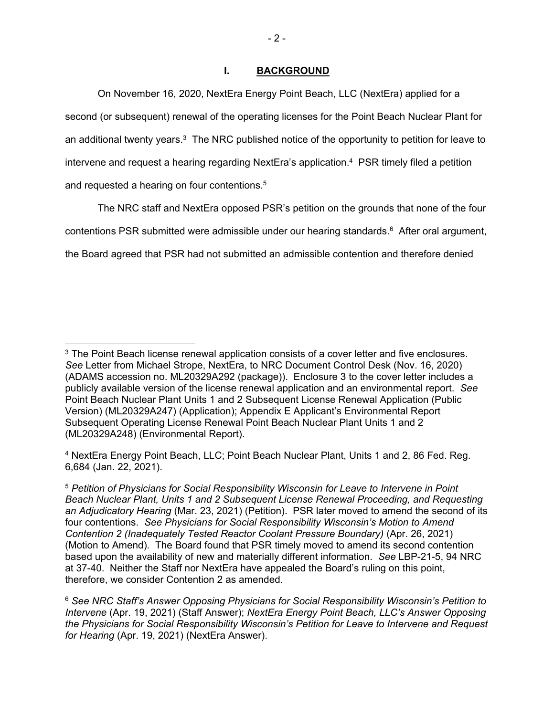# **I. BACKGROUND**

 On November 16, 2020, NextEra Energy Point Beach, LLC (NextEra) applied for a second (or subsequent) renewal of the operating licenses for the Point Beach Nuclear Plant for an additional twenty years.<sup>3</sup> The NRC published notice of the opportunity to petition for leave to intervene and request a hearing regarding NextEra's application.<sup>4</sup> PSR timely filed a petition and requested a hearing on four contentions.<sup>5</sup>

 The NRC staff and NextEra opposed PSR's petition on the grounds that none of the four contentions PSR submitted were admissible under our hearing standards. $6$  After oral argument, the Board agreed that PSR had not submitted an admissible contention and therefore denied

4 NextEra Energy Point Beach, LLC; Point Beach Nuclear Plant, Units 1 and 2, 86 Fed. Reg. 6,684 (Jan. 22, 2021).

<sup>&</sup>lt;sup>3</sup> The Point Beach license renewal application consists of a cover letter and five enclosures. *See* Letter from Michael Strope, NextEra, to NRC Document Control Desk (Nov. 16, 2020) (ADAMS accession no. ML20329A292 (package)). Enclosure 3 to the cover letter includes a publicly available version of the license renewal application and an environmental report. *See*  Point Beach Nuclear Plant Units 1 and 2 Subsequent License Renewal Application (Public Version) (ML20329A247) (Application); Appendix E Applicant's Environmental Report Subsequent Operating License Renewal Point Beach Nuclear Plant Units 1 and 2 (ML20329A248) (Environmental Report).

<sup>5</sup> *Petition of Physicians for Social Responsibility Wisconsin for Leave to Intervene in Point Beach Nuclear Plant, Units 1 and 2 Subsequent License Renewal Proceeding, and Requesting an Adjudicatory Hearing* (Mar. 23, 2021) (Petition). PSR later moved to amend the second of its four contentions. *See Physicians for Social Responsibility Wisconsin's Motion to Amend Contention 2 (Inadequately Tested Reactor Coolant Pressure Boundary)* (Apr. 26, 2021) (Motion to Amend). The Board found that PSR timely moved to amend its second contention based upon the availability of new and materially different information. *See* LBP-21-5, 94 NRC at 37-40. Neither the Staff nor NextEra have appealed the Board's ruling on this point, therefore, we consider Contention 2 as amended.

<sup>6</sup> *See NRC Staff's Answer Opposing Physicians for Social Responsibility Wisconsin's Petition to Intervene* (Apr. 19, 2021) (Staff Answer); *NextEra Energy Point Beach, LLC's Answer Opposing the Physicians for Social Responsibility Wisconsin's Petition for Leave to Intervene and Request for Hearing* (Apr. 19, 2021) (NextEra Answer).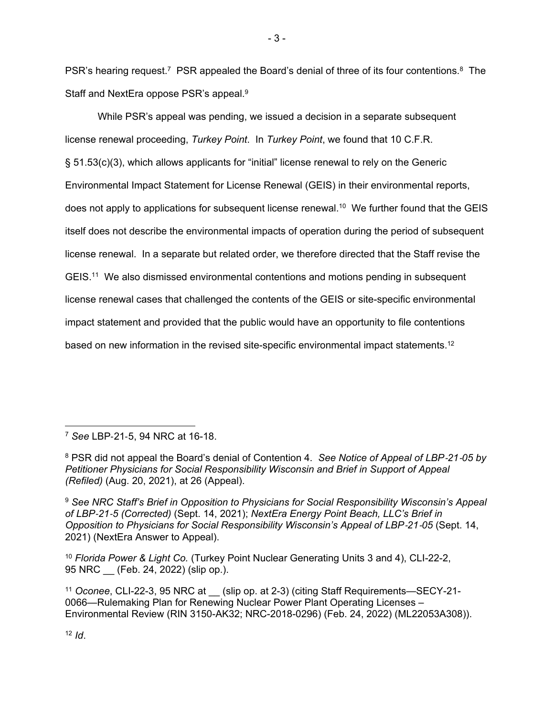PSR's hearing request.<sup>7</sup> PSR appealed the Board's denial of three of its four contentions.<sup>8</sup> The Staff and NextEra oppose PSR's appeal.9

 While PSR's appeal was pending, we issued a decision in a separate subsequent license renewal proceeding, *Turkey Point*. In *Turkey Point*, we found that 10 C.F.R. § 51.53(c)(3), which allows applicants for "initial" license renewal to rely on the Generic Environmental Impact Statement for License Renewal (GEIS) in their environmental reports, does not apply to applications for subsequent license renewal.<sup>10</sup> We further found that the GEIS itself does not describe the environmental impacts of operation during the period of subsequent license renewal. In a separate but related order, we therefore directed that the Staff revise the GEIS.11 We also dismissed environmental contentions and motions pending in subsequent license renewal cases that challenged the contents of the GEIS or site-specific environmental impact statement and provided that the public would have an opportunity to file contentions based on new information in the revised site-specific environmental impact statements.12

<sup>7</sup> *See* LBP-21-5, 94 NRC at 16-18.

 $12$  *Id.* 

<sup>8</sup> PSR did not appeal the Board's denial of Contention 4. *See Notice of Appeal of LBP*-*21*-*05 by Petitioner Physicians for Social Responsibility Wisconsin and Brief in Support of Appeal (Refiled)* (Aug. 20, 2021), at 26 (Appeal).

<sup>9</sup> *See NRC Staff's Brief in Opposition to Physicians for Social Responsibility Wisconsin's Appeal of LBP*-*21*-*5 (Corrected)* (Sept. 14, 2021); *NextEra Energy Point Beach, LLC's Brief in Opposition to Physicians for Social Responsibility Wisconsin's Appeal of LBP*-*21*-*05* (Sept. 14, 2021) (NextEra Answer to Appeal).

<sup>10</sup> *Florida Power & Light Co.* (Turkey Point Nuclear Generating Units 3 and 4), CLI-22-2, 95 NRC \_\_ (Feb. 24, 2022) (slip op.).

<sup>11</sup> *Oconee*, CLI-22-3, 95 NRC at \_\_ (slip op. at 2-3) (citing Staff Requirements—SECY-21- 0066—Rulemaking Plan for Renewing Nuclear Power Plant Operating Licenses – Environmental Review (RIN 3150-AK32; NRC-2018-0296) (Feb. 24, 2022) (ML22053A308)).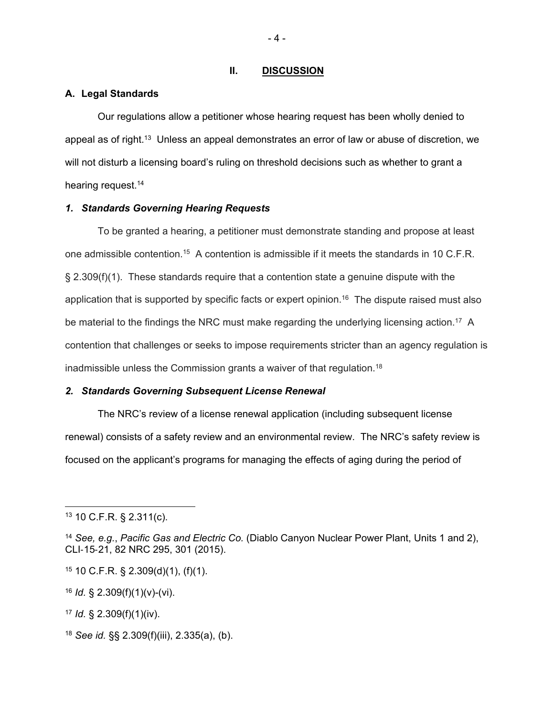#### **II. DISCUSSION**

### **A. Legal Standards**

 Our regulations allow a petitioner whose hearing request has been wholly denied to appeal as of right.13 Unless an appeal demonstrates an error of law or abuse of discretion, we will not disturb a licensing board's ruling on threshold decisions such as whether to grant a hearing request.<sup>14</sup>

## *1. Standards Governing Hearing Requests*

 To be granted a hearing, a petitioner must demonstrate standing and propose at least one admissible contention.<sup>15</sup> A contention is admissible if it meets the standards in 10 C.F.R. § 2.309(f)(1). These standards require that a contention state a genuine dispute with the application that is supported by specific facts or expert opinion.<sup>16</sup> The dispute raised must also be material to the findings the NRC must make regarding the underlying licensing action.<sup>17</sup> A contention that challenges or seeks to impose requirements stricter than an agency regulation is inadmissible unless the Commission grants a waiver of that regulation.<sup>18</sup>

#### *2. Standards Governing Subsequent License Renewal*

 The NRC's review of a license renewal application (including subsequent license renewal) consists of a safety review and an environmental review. The NRC's safety review is focused on the applicant's programs for managing the effects of aging during the period of

<sup>17</sup> *Id.* § 2.309(f)(1)(iv).

<sup>18</sup> *See id.* §§ 2.309(f)(iii), 2.335(a), (b).

 $-4 -$ 

<sup>13 10</sup> C.F.R. § 2.311(c).

<sup>14</sup> *See, e.g.*, *Pacific Gas and Electric Co.* (Diablo Canyon Nuclear Power Plant, Units 1 and 2), CLI-15-21, 82 NRC 295, 301 (2015).

 $15$  10 C.F.R. § 2.309(d)(1), (f)(1).

<sup>16</sup> *Id.* § 2.309(f)(1)(v)-(vi).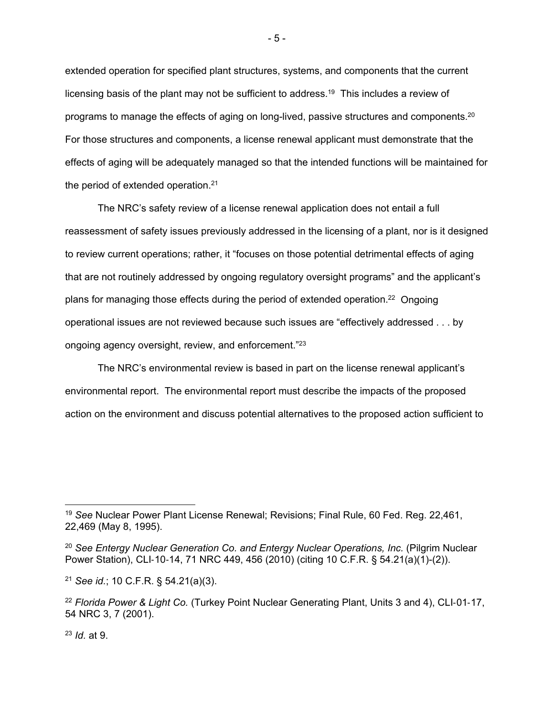extended operation for specified plant structures, systems, and components that the current licensing basis of the plant may not be sufficient to address.19 This includes a review of programs to manage the effects of aging on long-lived, passive structures and components.20 For those structures and components, a license renewal applicant must demonstrate that the effects of aging will be adequately managed so that the intended functions will be maintained for the period of extended operation.<sup>21</sup>

 The NRC's safety review of a license renewal application does not entail a full reassessment of safety issues previously addressed in the licensing of a plant, nor is it designed to review current operations; rather, it "focuses on those potential detrimental effects of aging that are not routinely addressed by ongoing regulatory oversight programs" and the applicant's plans for managing those effects during the period of extended operation.22 Ongoing operational issues are not reviewed because such issues are "effectively addressed . . . by ongoing agency oversight, review, and enforcement."23

 The NRC's environmental review is based in part on the license renewal applicant's environmental report. The environmental report must describe the impacts of the proposed action on the environment and discuss potential alternatives to the proposed action sufficient to

<sup>23</sup> *Id.* at 9.

<sup>19</sup> *See* Nuclear Power Plant License Renewal; Revisions; Final Rule, 60 Fed. Reg. 22,461, 22,469 (May 8, 1995).

<sup>20</sup> *See Entergy Nuclear Generation Co. and Entergy Nuclear Operations, Inc.* (Pilgrim Nuclear Power Station), CLI-10-14, 71 NRC 449, 456 (2010) (citing 10 C.F.R. § 54.21(a)(1)-(2)).

<sup>21</sup> *See id.*; 10 C.F.R. § 54.21(a)(3).

<sup>22</sup> *Florida Power & Light Co.* (Turkey Point Nuclear Generating Plant, Units 3 and 4), CLI-01-17, 54 NRC 3, 7 (2001).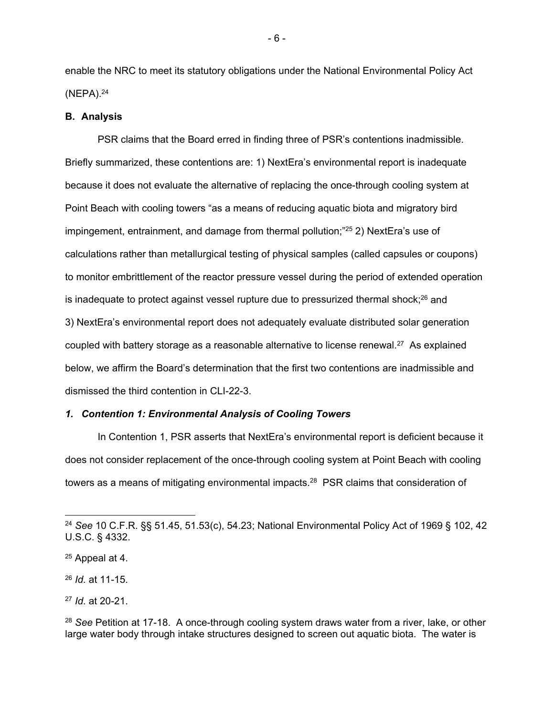enable the NRC to meet its statutory obligations under the National Environmental Policy Act (NEPA).24

#### **B. Analysis**

 PSR claims that the Board erred in finding three of PSR's contentions inadmissible. Briefly summarized, these contentions are: 1) NextEra's environmental report is inadequate because it does not evaluate the alternative of replacing the once-through cooling system at Point Beach with cooling towers "as a means of reducing aquatic biota and migratory bird impingement, entrainment, and damage from thermal pollution;"<sup>25</sup> 2) NextEra's use of calculations rather than metallurgical testing of physical samples (called capsules or coupons) to monitor embrittlement of the reactor pressure vessel during the period of extended operation is inadequate to protect against vessel rupture due to pressurized thermal shock; $^{26}$  and 3) NextEra's environmental report does not adequately evaluate distributed solar generation coupled with battery storage as a reasonable alternative to license renewal.<sup>27</sup> As explained below, we affirm the Board's determination that the first two contentions are inadmissible and dismissed the third contention in CLI-22-3.

### *1. Contention 1: Environmental Analysis of Cooling Towers*

 In Contention 1, PSR asserts that NextEra's environmental report is deficient because it does not consider replacement of the once-through cooling system at Point Beach with cooling towers as a means of mitigating environmental impacts.<sup>28</sup> PSR claims that consideration of

- 6 -

<sup>24</sup> *See* 10 C.F.R. §§ 51.45, 51.53(c), 54.23; National Environmental Policy Act of 1969 § 102, 42 U.S.C. § 4332.

<sup>25</sup> Appeal at 4.

<sup>26</sup> *Id.* at 11-15.

<sup>27</sup> *Id.* at 20-21.

<sup>28</sup> *See* Petition at 17-18. A once-through cooling system draws water from a river, lake, or other large water body through intake structures designed to screen out aquatic biota. The water is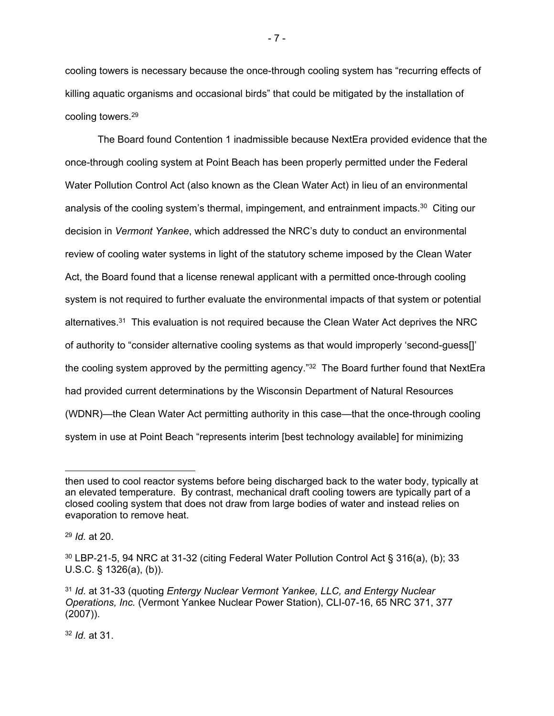cooling towers is necessary because the once-through cooling system has "recurring effects of killing aquatic organisms and occasional birds" that could be mitigated by the installation of cooling towers.29

 The Board found Contention 1 inadmissible because NextEra provided evidence that the once-through cooling system at Point Beach has been properly permitted under the Federal Water Pollution Control Act (also known as the Clean Water Act) in lieu of an environmental analysis of the cooling system's thermal, impingement, and entrainment impacts.<sup>30</sup> Citing our decision in *Vermont Yankee*, which addressed the NRC's duty to conduct an environmental review of cooling water systems in light of the statutory scheme imposed by the Clean Water Act, the Board found that a license renewal applicant with a permitted once-through cooling system is not required to further evaluate the environmental impacts of that system or potential alternatives.<sup>31</sup> This evaluation is not required because the Clean Water Act deprives the NRC of authority to "consider alternative cooling systems as that would improperly 'second-guess[]' the cooling system approved by the permitting agency."<sup>32</sup> The Board further found that NextEra had provided current determinations by the Wisconsin Department of Natural Resources (WDNR)—the Clean Water Act permitting authority in this case—that the once-through cooling system in use at Point Beach "represents interim [best technology available] for minimizing

- 7 -

then used to cool reactor systems before being discharged back to the water body, typically at an elevated temperature. By contrast, mechanical draft cooling towers are typically part of a closed cooling system that does not draw from large bodies of water and instead relies on evaporation to remove heat.

<sup>29</sup> *Id.* at 20.

 $30$  LBP-21-5, 94 NRC at 31-32 (citing Federal Water Pollution Control Act § 316(a), (b); 33 U.S.C. § 1326(a), (b)).

<sup>31</sup> *Id.* at 31-33 (quoting *Entergy Nuclear Vermont Yankee, LLC, and Entergy Nuclear Operations, Inc.* (Vermont Yankee Nuclear Power Station), CLI-07-16, 65 NRC 371, 377 (2007)).

<sup>32</sup> *Id.* at 31.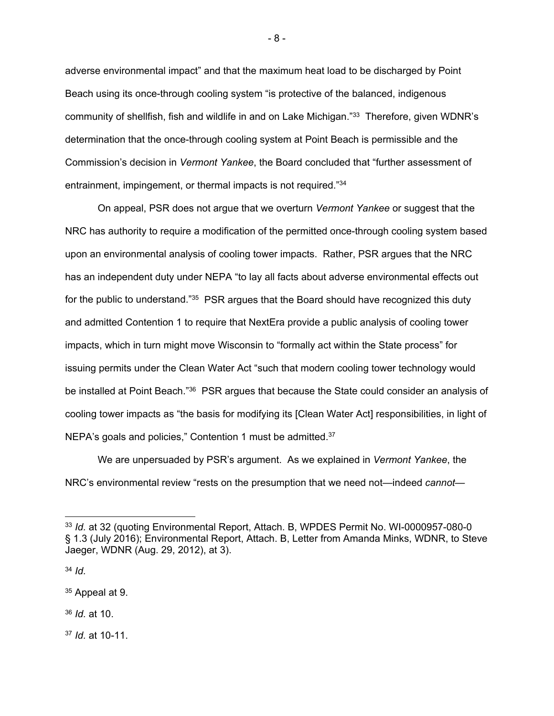adverse environmental impact" and that the maximum heat load to be discharged by Point Beach using its once-through cooling system "is protective of the balanced, indigenous community of shellfish, fish and wildlife in and on Lake Michigan."33 Therefore, given WDNR's determination that the once-through cooling system at Point Beach is permissible and the Commission's decision in *Vermont Yankee*, the Board concluded that "further assessment of entrainment, impingement, or thermal impacts is not required."34

 On appeal, PSR does not argue that we overturn *Vermont Yankee* or suggest that the NRC has authority to require a modification of the permitted once-through cooling system based upon an environmental analysis of cooling tower impacts. Rather, PSR argues that the NRC has an independent duty under NEPA "to lay all facts about adverse environmental effects out for the public to understand."<sup>35</sup> PSR argues that the Board should have recognized this duty and admitted Contention 1 to require that NextEra provide a public analysis of cooling tower impacts, which in turn might move Wisconsin to "formally act within the State process" for issuing permits under the Clean Water Act "such that modern cooling tower technology would be installed at Point Beach."36 PSR argues that because the State could consider an analysis of cooling tower impacts as "the basis for modifying its [Clean Water Act] responsibilities, in light of NEPA's goals and policies," Contention 1 must be admitted.<sup>37</sup>

 We are unpersuaded by PSR's argument. As we explained in *Vermont Yankee*, the NRC's environmental review "rests on the presumption that we need not—indeed *cannot*—

<sup>34</sup> *Id.*

<sup>36</sup> *Id.* at 10.

<sup>37</sup> *Id.* at 10-11.

- 8 -

<sup>33</sup> *Id.* at 32 (quoting Environmental Report, Attach. B, WPDES Permit No. WI-0000957-080-0 § 1.3 (July 2016); Environmental Report, Attach. B, Letter from Amanda Minks, WDNR, to Steve Jaeger, WDNR (Aug. 29, 2012), at 3).

<sup>35</sup> Appeal at 9.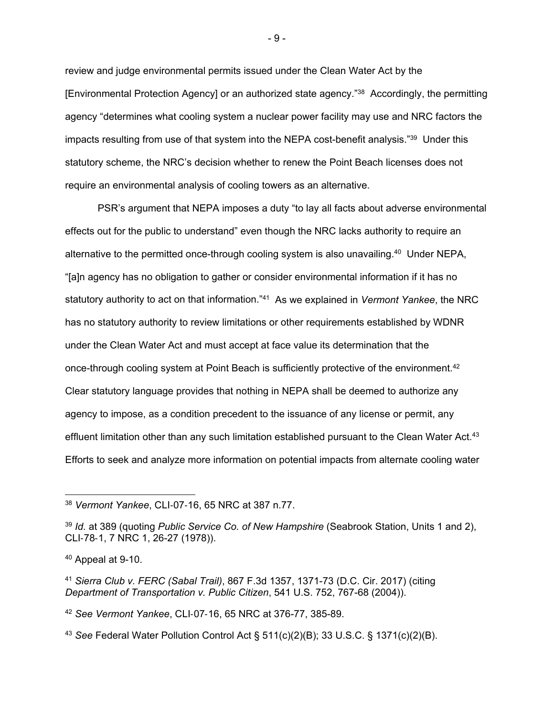review and judge environmental permits issued under the Clean Water Act by the [Environmental Protection Agency] or an authorized state agency."38 Accordingly, the permitting agency "determines what cooling system a nuclear power facility may use and NRC factors the impacts resulting from use of that system into the NEPA cost-benefit analysis."39 Under this statutory scheme, the NRC's decision whether to renew the Point Beach licenses does not require an environmental analysis of cooling towers as an alternative.

 PSR's argument that NEPA imposes a duty "to lay all facts about adverse environmental effects out for the public to understand" even though the NRC lacks authority to require an alternative to the permitted once-through cooling system is also unavailing.<sup>40</sup> Under NEPA, "[a]n agency has no obligation to gather or consider environmental information if it has no statutory authority to act on that information."41 As we explained in *Vermont Yankee*, the NRC has no statutory authority to review limitations or other requirements established by WDNR under the Clean Water Act and must accept at face value its determination that the once-through cooling system at Point Beach is sufficiently protective of the environment.<sup>42</sup> Clear statutory language provides that nothing in NEPA shall be deemed to authorize any agency to impose, as a condition precedent to the issuance of any license or permit, any effluent limitation other than any such limitation established pursuant to the Clean Water Act.<sup>43</sup> Efforts to seek and analyze more information on potential impacts from alternate cooling water

<sup>43</sup> *See* Federal Water Pollution Control Act § 511(c)(2)(B); 33 U.S.C. § 1371(c)(2)(B).

- 9 -

<sup>38</sup> *Vermont Yankee*, CLI-07-16, 65 NRC at 387 n.77.

<sup>39</sup> *Id.* at 389 (quoting *Public Service Co. of New Hampshire* (Seabrook Station, Units 1 and 2), CLI-78-1, 7 NRC 1, 26-27 (1978)).

<sup>40</sup> Appeal at 9-10.

<sup>41</sup> *Sierra Club v. FERC (Sabal Trail)*, 867 F.3d 1357, 1371-73 (D.C. Cir. 2017) (citing *Department of Transportation v. Public Citizen*, 541 U.S. 752, 767-68 (2004)).

<sup>42</sup> *See Vermont Yankee*, CLI-07-16, 65 NRC at 376-77, 385-89.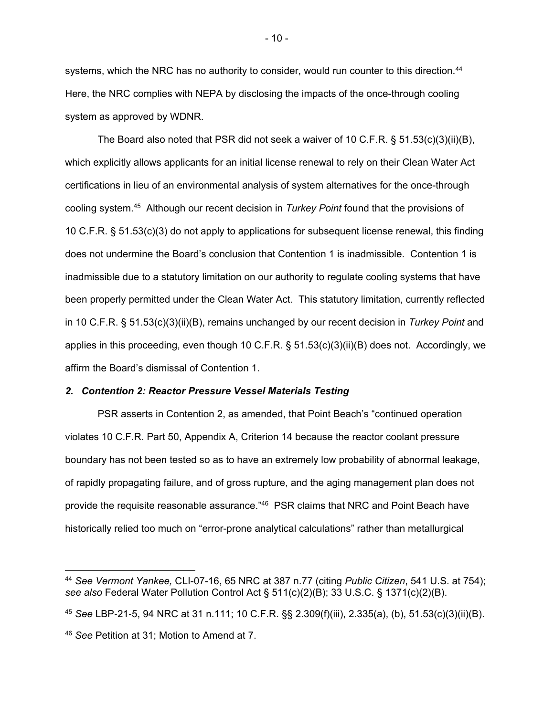systems, which the NRC has no authority to consider, would run counter to this direction.<sup>44</sup> Here, the NRC complies with NEPA by disclosing the impacts of the once-through cooling system as approved by WDNR.

 The Board also noted that PSR did not seek a waiver of 10 C.F.R. § 51.53(c)(3)(ii)(B), which explicitly allows applicants for an initial license renewal to rely on their Clean Water Act certifications in lieu of an environmental analysis of system alternatives for the once-through cooling system.45 Although our recent decision in *Turkey Point* found that the provisions of 10 C.F.R. § 51.53(c)(3) do not apply to applications for subsequent license renewal, this finding does not undermine the Board's conclusion that Contention 1 is inadmissible. Contention 1 is inadmissible due to a statutory limitation on our authority to regulate cooling systems that have been properly permitted under the Clean Water Act. This statutory limitation, currently reflected in 10 C.F.R. § 51.53(c)(3)(ii)(B), remains unchanged by our recent decision in *Turkey Point* and applies in this proceeding, even though 10 C.F.R. § 51.53(c)(3)(ii)(B) does not. Accordingly, we affirm the Board's dismissal of Contention 1.

#### *2. Contention 2: Reactor Pressure Vessel Materials Testing*

 PSR asserts in Contention 2, as amended, that Point Beach's "continued operation violates 10 C.F.R. Part 50, Appendix A, Criterion 14 because the reactor coolant pressure boundary has not been tested so as to have an extremely low probability of abnormal leakage, of rapidly propagating failure, and of gross rupture, and the aging management plan does not provide the requisite reasonable assurance."46 PSR claims that NRC and Point Beach have historically relied too much on "error-prone analytical calculations" rather than metallurgical

<sup>44</sup> *See Vermont Yankee,* CLI-07-16, 65 NRC at 387 n.77 (citing *Public Citizen*, 541 U.S. at 754); *see also* Federal Water Pollution Control Act § 511(c)(2)(B); 33 U.S.C. § 1371(c)(2)(B).

<sup>45</sup> *See* LBP-21-5, 94 NRC at 31 n.111; 10 C.F.R. §§ 2.309(f)(iii), 2.335(a), (b), 51.53(c)(3)(ii)(B). <sup>46</sup> *See* Petition at 31; Motion to Amend at 7.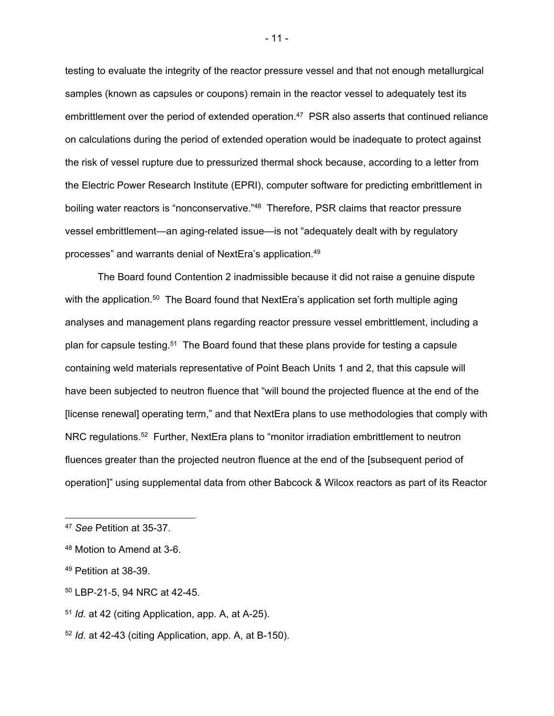testing to evaluate the integrity of the reactor pressure vessel and that not enough metallurgical samples (known as capsules or coupons) remain in the reactor vessel to adequately test its embrittlement over the period of extended operation.<sup>47</sup> PSR also asserts that continued reliance on calculations during the period of extended operation would be inadequate to protect against the risk of vessel rupture due to pressurized thermal shock because, according to a letter from the Electric Power Research Institute (EPRI), computer software for predicting embrittlement in boiling water reactors is "nonconservative."<sup>48</sup> Therefore, PSR claims that reactor pressure vessel embrittlement—an aging-related issue—is not "adequately dealt with by regulatory processes" and warrants denial of NextEra's application.49

 The Board found Contention 2 inadmissible because it did not raise a genuine dispute with the application.<sup>50</sup> The Board found that NextEra's application set forth multiple aging analyses and management plans regarding reactor pressure vessel embrittlement, including a plan for capsule testing.51 The Board found that these plans provide for testing a capsule containing weld materials representative of Point Beach Units 1 and 2, that this capsule will have been subjected to neutron fluence that "will bound the projected fluence at the end of the [license renewal] operating term," and that NextEra plans to use methodologies that comply with NRC regulations.<sup>52</sup> Further, NextEra plans to "monitor irradiation embrittlement to neutron fluences greater than the projected neutron fluence at the end of the [subsequent period of operation]" using supplemental data from other Babcock & Wilcox reactors as part of its Reactor

50 LBP-21-5, 94 NRC at 42-45.

<sup>52</sup> *Id.* at 42-43 (citing Application, app. A, at B-150).

- 11 -

<sup>47</sup> *See* Petition at 35-37.

<sup>48</sup> Motion to Amend at 3-6.

<sup>49</sup> Petition at 38-39.

<sup>51</sup> *Id.* at 42 (citing Application, app. A, at A-25).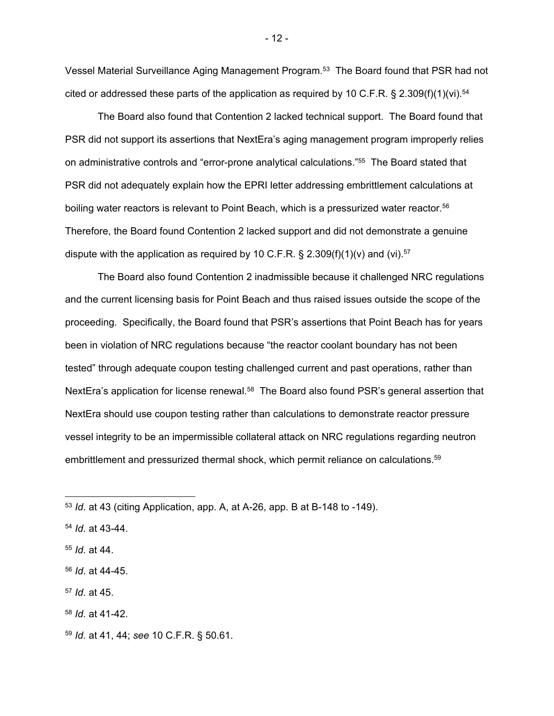Vessel Material Surveillance Aging Management Program.<sup>53</sup> The Board found that PSR had not cited or addressed these parts of the application as required by 10 C.F.R. § 2.309(f)(1)(vi).<sup>54</sup>

 The Board also found that Contention 2 lacked technical support. The Board found that PSR did not support its assertions that NextEra's aging management program improperly relies on administrative controls and "error-prone analytical calculations."55 The Board stated that PSR did not adequately explain how the EPRI letter addressing embrittlement calculations at boiling water reactors is relevant to Point Beach, which is a pressurized water reactor.<sup>56</sup> Therefore, the Board found Contention 2 lacked support and did not demonstrate a genuine dispute with the application as required by 10 C.F.R. § 2.309(f)(1)(v) and (vi).<sup>57</sup>

 The Board also found Contention 2 inadmissible because it challenged NRC regulations and the current licensing basis for Point Beach and thus raised issues outside the scope of the proceeding. Specifically, the Board found that PSR's assertions that Point Beach has for years been in violation of NRC regulations because "the reactor coolant boundary has not been tested" through adequate coupon testing challenged current and past operations, rather than NextEra's application for license renewal.<sup>58</sup> The Board also found PSR's general assertion that NextEra should use coupon testing rather than calculations to demonstrate reactor pressure vessel integrity to be an impermissible collateral attack on NRC regulations regarding neutron embrittlement and pressurized thermal shock, which permit reliance on calculations.<sup>59</sup>

<sup>54</sup> *Id.* at 43-44.

<sup>57</sup> *Id.* at 45.

- 12 -

<sup>53</sup> *Id.* at 43 (citing Application, app. A, at A-26, app. B at B-148 to -149).

<sup>55</sup> *Id.* at 44.

<sup>56</sup> *Id.* at 44-45.

<sup>58</sup> *Id.* at 41-42.

<sup>59</sup> *Id.* at 41, 44; *see* 10 C.F.R. § 50.61.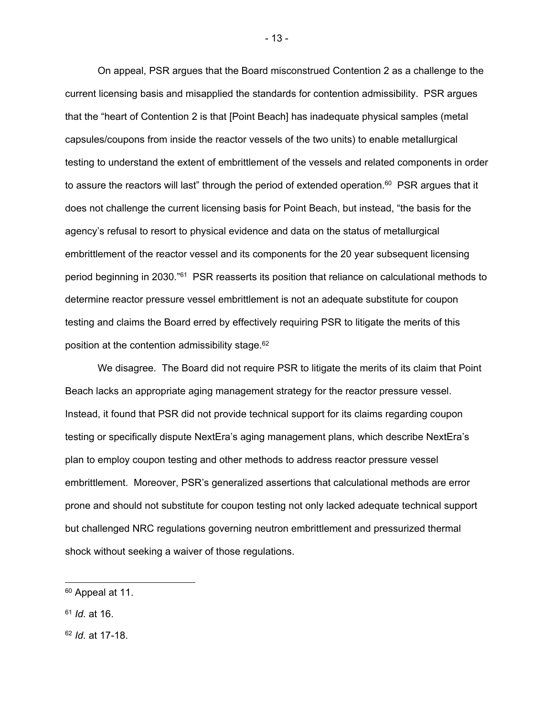On appeal, PSR argues that the Board misconstrued Contention 2 as a challenge to the current licensing basis and misapplied the standards for contention admissibility. PSR argues that the "heart of Contention 2 is that [Point Beach] has inadequate physical samples (metal capsules/coupons from inside the reactor vessels of the two units) to enable metallurgical testing to understand the extent of embrittlement of the vessels and related components in order to assure the reactors will last" through the period of extended operation. $60$  PSR argues that it does not challenge the current licensing basis for Point Beach, but instead, "the basis for the agency's refusal to resort to physical evidence and data on the status of metallurgical embrittlement of the reactor vessel and its components for the 20 year subsequent licensing period beginning in 2030."61 PSR reasserts its position that reliance on calculational methods to determine reactor pressure vessel embrittlement is not an adequate substitute for coupon testing and claims the Board erred by effectively requiring PSR to litigate the merits of this position at the contention admissibility stage.<sup>62</sup>

 We disagree. The Board did not require PSR to litigate the merits of its claim that Point Beach lacks an appropriate aging management strategy for the reactor pressure vessel. Instead, it found that PSR did not provide technical support for its claims regarding coupon testing or specifically dispute NextEra's aging management plans, which describe NextEra's plan to employ coupon testing and other methods to address reactor pressure vessel embrittlement. Moreover, PSR's generalized assertions that calculational methods are error prone and should not substitute for coupon testing not only lacked adequate technical support but challenged NRC regulations governing neutron embrittlement and pressurized thermal shock without seeking a waiver of those regulations.

<sup>60</sup> Appeal at 11.

<sup>61</sup> *Id.* at 16.

<sup>62</sup> *Id.* at 17-18.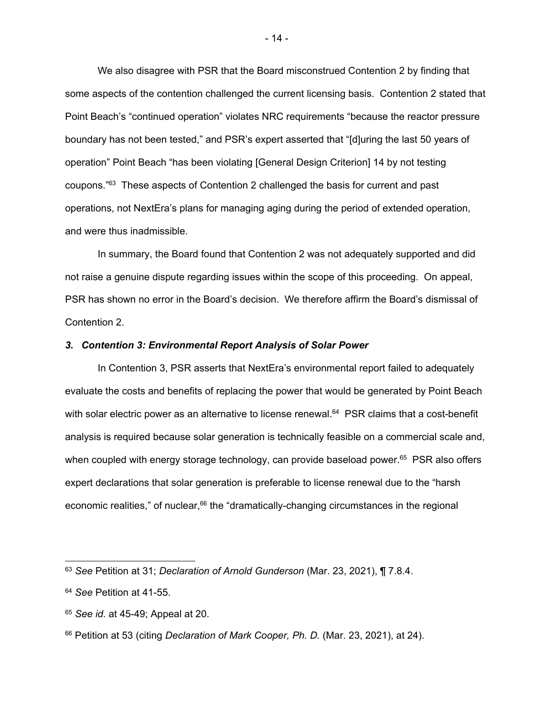We also disagree with PSR that the Board misconstrued Contention 2 by finding that some aspects of the contention challenged the current licensing basis. Contention 2 stated that Point Beach's "continued operation" violates NRC requirements "because the reactor pressure boundary has not been tested," and PSR's expert asserted that "[d]uring the last 50 years of operation" Point Beach "has been violating [General Design Criterion] 14 by not testing coupons."63 These aspects of Contention 2 challenged the basis for current and past operations, not NextEra's plans for managing aging during the period of extended operation, and were thus inadmissible.

 In summary, the Board found that Contention 2 was not adequately supported and did not raise a genuine dispute regarding issues within the scope of this proceeding. On appeal, PSR has shown no error in the Board's decision. We therefore affirm the Board's dismissal of Contention 2.

### *3. Contention 3: Environmental Report Analysis of Solar Power*

 In Contention 3, PSR asserts that NextEra's environmental report failed to adequately evaluate the costs and benefits of replacing the power that would be generated by Point Beach with solar electric power as an alternative to license renewal.<sup>64</sup> PSR claims that a cost-benefit analysis is required because solar generation is technically feasible on a commercial scale and, when coupled with energy storage technology, can provide baseload power.<sup>65</sup> PSR also offers expert declarations that solar generation is preferable to license renewal due to the "harsh economic realities," of nuclear,<sup>66</sup> the "dramatically-changing circumstances in the regional

<sup>63</sup> *See* Petition at 31; *Declaration of Arnold Gunderson* (Mar. 23, 2021), ¶ 7.8.4.

<sup>64</sup> *See* Petition at 41-55.

<sup>65</sup> *See id.* at 45-49; Appeal at 20.

<sup>66</sup> Petition at 53 (citing *Declaration of Mark Cooper, Ph. D.* (Mar. 23, 2021), at 24).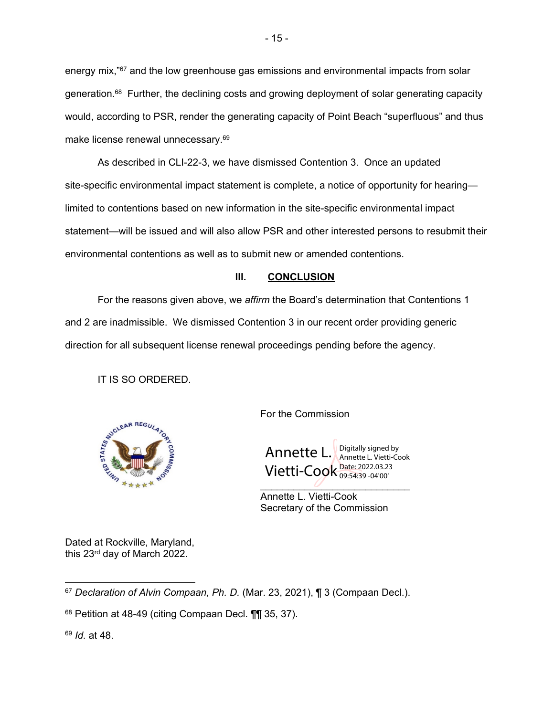energy mix,"67 and the low greenhouse gas emissions and environmental impacts from solar generation.<sup>68</sup> Further, the declining costs and growing deployment of solar generating capacity would, according to PSR, render the generating capacity of Point Beach "superfluous" and thus make license renewal unnecessary.<sup>69</sup>

 As described in CLI-22-3, we have dismissed Contention 3. Once an updated site-specific environmental impact statement is complete, a notice of opportunity for hearing limited to contentions based on new information in the site-specific environmental impact statement—will be issued and will also allow PSR and other interested persons to resubmit their environmental contentions as well as to submit new or amended contentions.

## **III. CONCLUSION**

 For the reasons given above, we *affirm* the Board's determination that Contentions 1 and 2 are inadmissible. We dismissed Contention 3 in our recent order providing generic direction for all subsequent license renewal proceedings pending before the agency.

IT IS SO ORDERED.



Annette L. Vietti-Cook <sup>Date: 2022.03.23</sup> Digitally signed by Annette L. Vietti-Cook 09:54:39 -04'00'

 Annette L. Vietti-Cook Secretary of the Commission

Dated at Rockville, Maryland, this 23rd day of March 2022.

<sup>67</sup> *Declaration of Alvin Compaan, Ph. D.* (Mar. 23, 2021), ¶ 3 (Compaan Decl.).

<sup>69</sup> *Id.* at 48.

<sup>68</sup> Petition at 48-49 (citing Compaan Decl. ¶¶ 35, 37).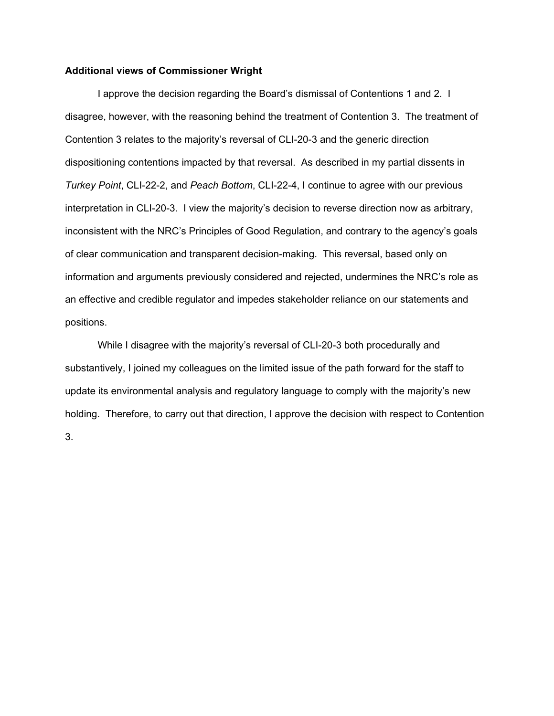## **Additional views of Commissioner Wright**

I approve the decision regarding the Board's dismissal of Contentions 1 and 2. I disagree, however, with the reasoning behind the treatment of Contention 3. The treatment of Contention 3 relates to the majority's reversal of CLI-20-3 and the generic direction dispositioning contentions impacted by that reversal. As described in my partial dissents in *Turkey Point*, CLI-22-2, and *Peach Bottom*, CLI-22-4, I continue to agree with our previous interpretation in CLI-20-3. I view the majority's decision to reverse direction now as arbitrary, inconsistent with the NRC's Principles of Good Regulation, and contrary to the agency's goals of clear communication and transparent decision-making. This reversal, based only on information and arguments previously considered and rejected, undermines the NRC's role as an effective and credible regulator and impedes stakeholder reliance on our statements and positions.

While I disagree with the majority's reversal of CLI-20-3 both procedurally and substantively, I joined my colleagues on the limited issue of the path forward for the staff to update its environmental analysis and regulatory language to comply with the majority's new holding. Therefore, to carry out that direction, I approve the decision with respect to Contention 3.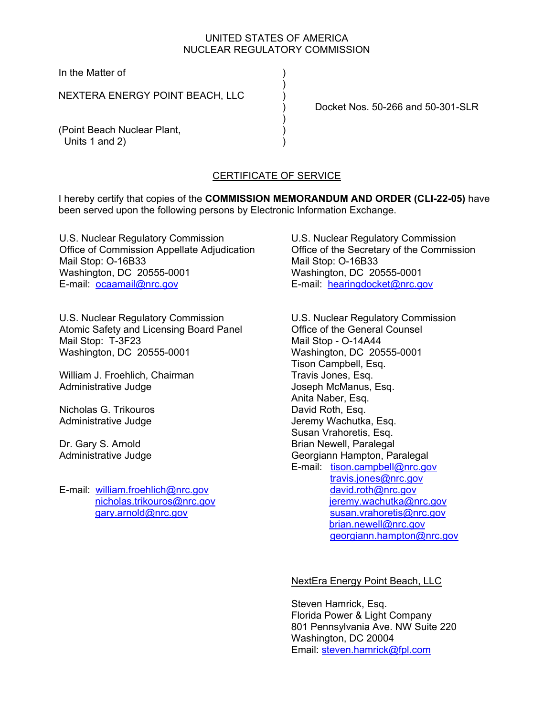# UNITED STATES OF AMERICA NUCLEAR REGULATORY COMMISSION

In the Matter of )

NEXTERA ENERGY POINT BEACH, LLC )

 $)$ 

) and the contract of  $\mathcal{L}$ 

) Docket Nos. 50-266 and 50-301-SLR

(Point Beach Nuclear Plant, Units 1 and 2)

# CERTIFICATE OF SERVICE

I hereby certify that copies of the **COMMISSION MEMORANDUM AND ORDER (CLI-22-05)** have been served upon the following persons by Electronic Information Exchange.

U.S. Nuclear Regulatory Commission Office of Commission Appellate Adjudication Mail Stop: O-16B33 Washington, DC 20555-0001 E-mail: ocaamail@nrc.gov

U.S. Nuclear Regulatory Commission Atomic Safety and Licensing Board Panel Mail Stop: T-3F23 Washington, DC 20555-0001

William J. Froehlich, Chairman Administrative Judge

Nicholas G. Trikouros Administrative Judge

Dr. Gary S. Arnold Administrative Judge

E-mail: william.froehlich@nrc.gov nicholas.trikouros@nrc.gov gary.arnold@nrc.gov

U.S. Nuclear Regulatory Commission Office of the Secretary of the Commission Mail Stop: O-16B33 Washington, DC 20555-0001 E-mail: hearingdocket@nrc.gov

U.S. Nuclear Regulatory Commission Office of the General Counsel Mail Stop - O-14A44 Washington, DC 20555-0001 Tison Campbell, Esq. Travis Jones, Esq. Joseph McManus, Esq. Anita Naber, Esq. David Roth, Esq. Jeremy Wachutka, Esq. Susan Vrahoretis, Esq. Brian Newell, Paralegal Georgiann Hampton, Paralegal E-mail: tison.campbell@nrc.gov travis.jones@nrc.gov david.roth@nrc.gov jeremy.wachutka@nrc.gov susan.vrahoretis@nrc.gov brian.newell@nrc.gov georgiann.hampton@nrc.gov

## NextEra Energy Point Beach, LLC

Steven Hamrick, Esq. Florida Power & Light Company 801 Pennsylvania Ave. NW Suite 220 Washington, DC 20004 Email: steven.hamrick@fpl.com